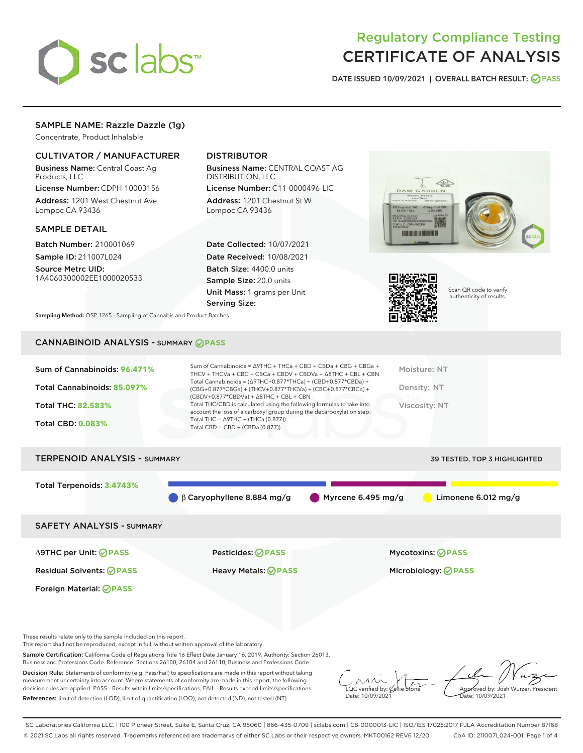

# Regulatory Compliance Testing CERTIFICATE OF ANALYSIS

DATE ISSUED 10/09/2021 | OVERALL BATCH RESULT: @ PASS

# SAMPLE NAME: Razzle Dazzle (1g)

Concentrate, Product Inhalable

# CULTIVATOR / MANUFACTURER

Business Name: Central Coast Ag Products, LLC

License Number: CDPH-10003156 Address: 1201 West Chestnut Ave. Lompoc CA 93436

#### SAMPLE DETAIL

Batch Number: 210001069 Sample ID: 211007L024

Source Metrc UID: 1A4060300002EE1000020533

# DISTRIBUTOR

Business Name: CENTRAL COAST AG DISTRIBUTION, LLC

License Number: C11-0000496-LIC Address: 1201 Chestnut St W Lompoc CA 93436

Date Collected: 10/07/2021 Date Received: 10/08/2021 Batch Size: 4400.0 units Sample Size: 20.0 units Unit Mass: 1 grams per Unit Serving Size:





Scan QR code to verify authenticity of results.

Sampling Method: QSP 1265 - Sampling of Cannabis and Product Batches

# CANNABINOID ANALYSIS - SUMMARY **PASS**



Foreign Material: **PASS**

∆9THC per Unit: **PASS** Pesticides: **PASS** Mycotoxins: **PASS**

Residual Solvents: **PASS** Heavy Metals: **PASS** Microbiology: **PASS**

These results relate only to the sample included on this report.

This report shall not be reproduced, except in full, without written approval of the laboratory.

Sample Certification: California Code of Regulations Title 16 Effect Date January 16, 2019. Authority: Section 26013, Business and Professions Code. Reference: Sections 26100, 26104 and 26110, Business and Professions Code.

Decision Rule: Statements of conformity (e.g. Pass/Fail) to specifications are made in this report without taking measurement uncertainty into account. Where statements of conformity are made in this report, the following decision rules are applied: PASS – Results within limits/specifications, FAIL – Results exceed limits/specifications. References: limit of detection (LOD), limit of quantification (LOQ), not detected (ND), not tested (NT)

 $\overline{\text{C}}$  verified by:  $\overline{\text{C}}$ Date: 10/09/2021

Approved by: Josh Wurzer, President ate: 10/09/2021

SC Laboratories California LLC. | 100 Pioneer Street, Suite E, Santa Cruz, CA 95060 | 866-435-0709 | sclabs.com | C8-0000013-LIC | ISO/IES 17025:2017 PJLA Accreditation Number 87168 © 2021 SC Labs all rights reserved. Trademarks referenced are trademarks of either SC Labs or their respective owners. MKT00162 REV6 12/20 CoA ID: 211007L024-001 Page 1 of 4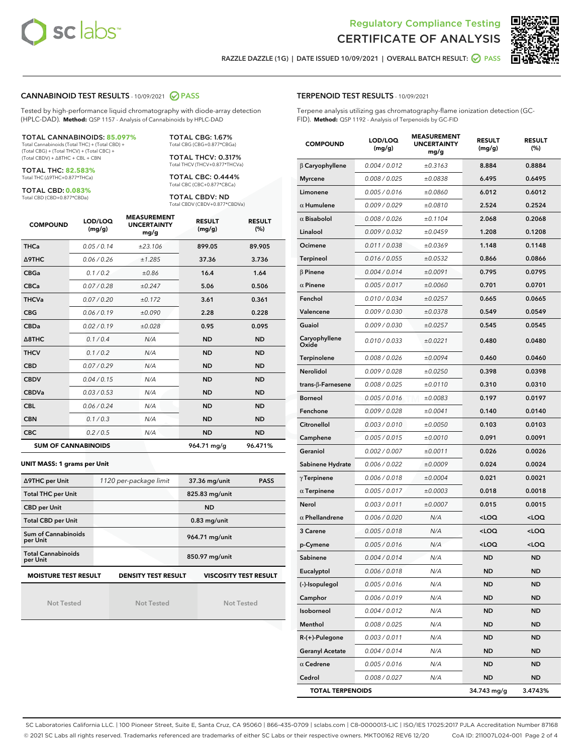



RAZZLE DAZZLE (1G) | DATE ISSUED 10/09/2021 | OVERALL BATCH RESULT: @ PASS

## CANNABINOID TEST RESULTS - 10/09/2021 2 PASS

Tested by high-performance liquid chromatography with diode-array detection (HPLC-DAD). **Method:** QSP 1157 - Analysis of Cannabinoids by HPLC-DAD

#### TOTAL CANNABINOIDS: **85.097%**

Total Cannabinoids (Total THC) + (Total CBD) + (Total CBG) + (Total THCV) + (Total CBC) + (Total CBDV) + ∆8THC + CBL + CBN

TOTAL THC: **82.583%** Total THC (∆9THC+0.877\*THCa)

TOTAL CBD: **0.083%**

Total CBD (CBD+0.877\*CBDa)

TOTAL CBG: 1.67% Total CBG (CBG+0.877\*CBGa)

TOTAL THCV: 0.317% Total THCV (THCV+0.877\*THCVa)

TOTAL CBC: 0.444% Total CBC (CBC+0.877\*CBCa)

TOTAL CBDV: ND Total CBDV (CBDV+0.877\*CBDVa)

| <b>COMPOUND</b>  | LOD/LOQ<br>(mg/g)          | <b>MEASUREMENT</b><br><b>UNCERTAINTY</b><br>mg/g | <b>RESULT</b><br>(mg/g) | <b>RESULT</b><br>(%) |
|------------------|----------------------------|--------------------------------------------------|-------------------------|----------------------|
| <b>THCa</b>      | 0.05/0.14                  | ±23.106                                          | 899.05                  | 89.905               |
| <b>A9THC</b>     | 0.06 / 0.26                | ±1.285                                           | 37.36                   | 3.736                |
| <b>CBGa</b>      | 0.1/0.2                    | ±0.86                                            | 16.4                    | 1.64                 |
| <b>CBCa</b>      | 0.07 / 0.28                | ±0.247                                           | 5.06                    | 0.506                |
| <b>THCVa</b>     | 0.07/0.20                  | ±0.172                                           | 3.61                    | 0.361                |
| <b>CBG</b>       | 0.06/0.19                  | ±0.090                                           | 2.28                    | 0.228                |
| <b>CBDa</b>      | 0.02/0.19                  | ±0.028                                           | 0.95                    | 0.095                |
| $\triangle$ 8THC | 0.1/0.4                    | N/A                                              | <b>ND</b>               | <b>ND</b>            |
| <b>THCV</b>      | 0.1 / 0.2                  | N/A                                              | <b>ND</b>               | <b>ND</b>            |
| <b>CBD</b>       | 0.07/0.29                  | N/A                                              | <b>ND</b>               | <b>ND</b>            |
| <b>CBDV</b>      | 0.04 / 0.15                | N/A                                              | <b>ND</b>               | <b>ND</b>            |
| <b>CBDVa</b>     | 0.03 / 0.53                | N/A                                              | <b>ND</b>               | <b>ND</b>            |
| <b>CBL</b>       | 0.06 / 0.24                | N/A                                              | <b>ND</b>               | <b>ND</b>            |
| <b>CBN</b>       | 0.1/0.3                    | N/A                                              | <b>ND</b>               | <b>ND</b>            |
| <b>CBC</b>       | 0.2 / 0.5                  | N/A                                              | <b>ND</b>               | <b>ND</b>            |
|                  | <b>SUM OF CANNABINOIDS</b> |                                                  | 964.71 mg/g             | 96.471%              |

#### **UNIT MASS: 1 grams per Unit**

| ∆9THC per Unit                        | 1120 per-package limit                                                                    | 37.36 mg/unit<br>PASS |  |  |  |  |
|---------------------------------------|-------------------------------------------------------------------------------------------|-----------------------|--|--|--|--|
| <b>Total THC per Unit</b>             |                                                                                           | 825.83 mg/unit        |  |  |  |  |
| <b>CBD per Unit</b>                   |                                                                                           | <b>ND</b>             |  |  |  |  |
| <b>Total CBD per Unit</b>             |                                                                                           | $0.83$ mg/unit        |  |  |  |  |
| Sum of Cannabinoids<br>per Unit       |                                                                                           | 964.71 mg/unit        |  |  |  |  |
| <b>Total Cannabinoids</b><br>per Unit |                                                                                           | 850.97 mg/unit        |  |  |  |  |
|                                       | <b>MOISTURE TEST RESULT</b><br><b>DENSITY TEST RESULT</b><br><b>VISCOSITY TEST RESULT</b> |                       |  |  |  |  |

Not Tested

Not Tested

Not Tested

#### TERPENOID TEST RESULTS - 10/09/2021

Terpene analysis utilizing gas chromatography-flame ionization detection (GC-FID). **Method:** QSP 1192 - Analysis of Terpenoids by GC-FID

| <b>COMPOUND</b>         | LOD/LOQ<br>(mg/g) | <b>MEASUREMENT</b><br><b>UNCERTAINTY</b><br>mg/g | <b>RESULT</b><br>(mg/g)                         | <b>RESULT</b><br>$(\%)$ |
|-------------------------|-------------------|--------------------------------------------------|-------------------------------------------------|-------------------------|
| $\beta$ Caryophyllene   | 0.004 / 0.012     | ±0.3163                                          | 8.884                                           | 0.8884                  |
| <b>Myrcene</b>          | 0.008 / 0.025     | ±0.0838                                          | 6.495                                           | 0.6495                  |
| Limonene                | 0.005 / 0.016     | ±0.0860                                          | 6.012                                           | 0.6012                  |
| $\alpha$ Humulene       | 0.009 / 0.029     | ±0.0810                                          | 2.524                                           | 0.2524                  |
| $\alpha$ Bisabolol      | 0.008 / 0.026     | ±0.1104                                          | 2.068                                           | 0.2068                  |
| Linalool                | 0.009/0.032       | ±0.0459                                          | 1.208                                           | 0.1208                  |
| Ocimene                 | 0.011 / 0.038     | ±0.0369                                          | 1.148                                           | 0.1148                  |
| Terpineol               | 0.016 / 0.055     | ±0.0532                                          | 0.866                                           | 0.0866                  |
| $\beta$ Pinene          | 0.004 / 0.014     | ±0.0091                                          | 0.795                                           | 0.0795                  |
| $\alpha$ Pinene         | 0.005 / 0.017     | ±0.0060                                          | 0.701                                           | 0.0701                  |
| Fenchol                 | 0.010 / 0.034     | ±0.0257                                          | 0.665                                           | 0.0665                  |
| Valencene               | 0.009 / 0.030     | ±0.0378                                          | 0.549                                           | 0.0549                  |
| Guaiol                  | 0.009 / 0.030     | ±0.0257                                          | 0.545                                           | 0.0545                  |
| Caryophyllene<br>Oxide  | 0.010 / 0.033     | ±0.0221                                          | 0.480                                           | 0.0480                  |
| Terpinolene             | 0.008 / 0.026     | ±0.0094                                          | 0.460                                           | 0.0460                  |
| Nerolidol               | 0.009 / 0.028     | ±0.0250                                          | 0.398                                           | 0.0398                  |
| trans-β-Farnesene       | 0.008 / 0.025     | ±0.0110                                          | 0.310                                           | 0.0310                  |
| <b>Borneol</b>          | 0.005 / 0.016     | ±0.0083                                          | 0.197                                           | 0.0197                  |
| Fenchone                | 0.009 / 0.028     | ±0.0041                                          | 0.140                                           | 0.0140                  |
| Citronellol             | 0.003 / 0.010     | ±0.0050                                          | 0.103                                           | 0.0103                  |
| Camphene                | 0.005 / 0.015     | ±0.0010                                          | 0.091                                           | 0.0091                  |
| Geraniol                | 0.002 / 0.007     | ±0.0011                                          | 0.026                                           | 0.0026                  |
| Sabinene Hydrate        | 0.006 / 0.022     | ±0.0009                                          | 0.024                                           | 0.0024                  |
| $\gamma$ Terpinene      | 0.006 / 0.018     | ±0.0004                                          | 0.021                                           | 0.0021                  |
| $\alpha$ Terpinene      | 0.005 / 0.017     | ±0.0003                                          | 0.018                                           | 0.0018                  |
| Nerol                   | 0.003 / 0.011     | ±0.0007                                          | 0.015                                           | 0.0015                  |
| $\alpha$ Phellandrene   | 0.006 / 0.020     | N/A                                              | <loq< th=""><th><loq< th=""></loq<></th></loq<> | <loq< th=""></loq<>     |
| 3 Carene                | 0.005 / 0.018     | N/A                                              | <loq< th=""><th><loq< th=""></loq<></th></loq<> | <loq< th=""></loq<>     |
| p-Cymene                | 0.005 / 0.016     | N/A                                              | <loq< th=""><th><loq< th=""></loq<></th></loq<> | <loq< th=""></loq<>     |
| Sabinene                | 0.004 / 0.014     | N/A                                              | <b>ND</b>                                       | <b>ND</b>               |
| Eucalyptol              | 0.006 / 0.018     | N/A                                              | ND                                              | <b>ND</b>               |
| (-)-Isopulegol          | 0.005 / 0.016     | N/A                                              | ND                                              | ND                      |
| Camphor                 | 0.006 / 0.019     | N/A                                              | ND                                              | <b>ND</b>               |
| Isoborneol              | 0.004 / 0.012     | N/A                                              | ND                                              | <b>ND</b>               |
| Menthol                 | 0.008 / 0.025     | N/A                                              | ND                                              | ND                      |
| R-(+)-Pulegone          | 0.003 / 0.011     | N/A                                              | ND                                              | ND                      |
| <b>Geranyl Acetate</b>  | 0.004 / 0.014     | N/A                                              | ND                                              | <b>ND</b>               |
| $\alpha$ Cedrene        | 0.005 / 0.016     | N/A                                              | ND                                              | ND                      |
| Cedrol                  | 0.008 / 0.027     | N/A                                              | <b>ND</b>                                       | <b>ND</b>               |
| <b>TOTAL TERPENOIDS</b> |                   |                                                  | 34.743 mg/g                                     | 3.4743%                 |

SC Laboratories California LLC. | 100 Pioneer Street, Suite E, Santa Cruz, CA 95060 | 866-435-0709 | sclabs.com | C8-0000013-LIC | ISO/IES 17025:2017 PJLA Accreditation Number 87168 © 2021 SC Labs all rights reserved. Trademarks referenced are trademarks of either SC Labs or their respective owners. MKT00162 REV6 12/20 CoA ID: 211007L024-001 Page 2 of 4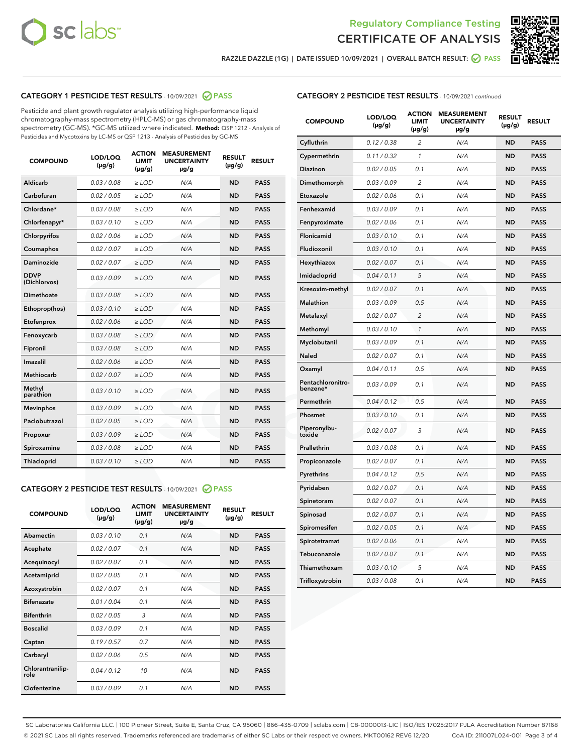



RAZZLE DAZZLE (1G) | DATE ISSUED 10/09/2021 | OVERALL BATCH RESULT:  $\bigcirc$  PASS

# CATEGORY 1 PESTICIDE TEST RESULTS - 10/09/2021 2 PASS

Pesticide and plant growth regulator analysis utilizing high-performance liquid chromatography-mass spectrometry (HPLC-MS) or gas chromatography-mass spectrometry (GC-MS). \*GC-MS utilized where indicated. **Method:** QSP 1212 - Analysis of Pesticides and Mycotoxins by LC-MS or QSP 1213 - Analysis of Pesticides by GC-MS

| 0.03 / 0.08<br><b>ND</b><br><b>PASS</b><br>Aldicarb<br>$\ge$ LOD<br>N/A<br>Carbofuran<br>0.02 / 0.05<br>$\ge$ LOD<br>N/A<br><b>ND</b><br><b>PASS</b><br>Chlordane*<br>0.03 / 0.08<br>$\ge$ LOD<br>N/A<br><b>ND</b><br><b>PASS</b><br>Chlorfenapyr*<br>0.03/0.10<br>$\ge$ LOD<br>N/A<br><b>ND</b><br><b>PASS</b><br>Chlorpyrifos<br>0.02 / 0.06<br>N/A<br><b>ND</b><br><b>PASS</b><br>$\ge$ LOD<br>Coumaphos<br>0.02 / 0.07<br>N/A<br><b>ND</b><br><b>PASS</b><br>$\ge$ LOD<br>Daminozide<br>0.02 / 0.07<br>N/A<br><b>ND</b><br><b>PASS</b><br>$\ge$ LOD<br><b>DDVP</b><br>0.03/0.09<br>$>$ LOD<br>N/A<br><b>ND</b><br><b>PASS</b><br>(Dichlorvos)<br>Dimethoate<br>0.03 / 0.08<br>$\ge$ LOD<br><b>ND</b><br><b>PASS</b><br>N/A<br>0.03/0.10<br>N/A<br><b>ND</b><br><b>PASS</b><br>Ethoprop(hos)<br>$>$ LOD<br>N/A<br><b>ND</b><br><b>PASS</b><br>Etofenprox<br>0.02 / 0.06<br>$\ge$ LOD<br>Fenoxycarb<br>0.03 / 0.08<br>$\ge$ LOD<br>N/A<br><b>ND</b><br><b>PASS</b><br>0.03/0.08<br>$\ge$ LOD<br>N/A<br><b>ND</b><br><b>PASS</b><br>Fipronil<br>Imazalil<br>0.02 / 0.06<br>$\geq$ LOD<br>N/A<br><b>ND</b><br><b>PASS</b><br>Methiocarb<br>0.02 / 0.07<br>$\ge$ LOD<br>N/A<br><b>ND</b><br><b>PASS</b><br>Methyl<br>0.03/0.10<br>N/A<br><b>ND</b><br><b>PASS</b><br>$\ge$ LOD<br>parathion<br>0.03/0.09<br><b>Mevinphos</b><br>$\ge$ LOD<br>N/A<br><b>ND</b><br><b>PASS</b><br>Paclobutrazol<br>0.02 / 0.05<br>$>$ LOD<br>N/A<br><b>ND</b><br><b>PASS</b><br>0.03 / 0.09<br>N/A<br>$\ge$ LOD<br><b>ND</b><br><b>PASS</b><br>Propoxur<br>0.03 / 0.08<br><b>ND</b><br><b>PASS</b><br>Spiroxamine<br>$\ge$ LOD<br>N/A<br>Thiacloprid<br>0.03/0.10<br>$\ge$ LOD<br>N/A<br><b>ND</b><br><b>PASS</b> | <b>COMPOUND</b> | LOD/LOQ<br>$(\mu g/g)$ | <b>ACTION</b><br><b>LIMIT</b><br>$(\mu g/g)$ | <b>MEASUREMENT</b><br><b>UNCERTAINTY</b><br>$\mu$ g/g | <b>RESULT</b><br>$(\mu g/g)$ | <b>RESULT</b> |
|------------------------------------------------------------------------------------------------------------------------------------------------------------------------------------------------------------------------------------------------------------------------------------------------------------------------------------------------------------------------------------------------------------------------------------------------------------------------------------------------------------------------------------------------------------------------------------------------------------------------------------------------------------------------------------------------------------------------------------------------------------------------------------------------------------------------------------------------------------------------------------------------------------------------------------------------------------------------------------------------------------------------------------------------------------------------------------------------------------------------------------------------------------------------------------------------------------------------------------------------------------------------------------------------------------------------------------------------------------------------------------------------------------------------------------------------------------------------------------------------------------------------------------------------------------------------------------------------------------------------------------------------------------------------------------------------|-----------------|------------------------|----------------------------------------------|-------------------------------------------------------|------------------------------|---------------|
|                                                                                                                                                                                                                                                                                                                                                                                                                                                                                                                                                                                                                                                                                                                                                                                                                                                                                                                                                                                                                                                                                                                                                                                                                                                                                                                                                                                                                                                                                                                                                                                                                                                                                                |                 |                        |                                              |                                                       |                              |               |
|                                                                                                                                                                                                                                                                                                                                                                                                                                                                                                                                                                                                                                                                                                                                                                                                                                                                                                                                                                                                                                                                                                                                                                                                                                                                                                                                                                                                                                                                                                                                                                                                                                                                                                |                 |                        |                                              |                                                       |                              |               |
|                                                                                                                                                                                                                                                                                                                                                                                                                                                                                                                                                                                                                                                                                                                                                                                                                                                                                                                                                                                                                                                                                                                                                                                                                                                                                                                                                                                                                                                                                                                                                                                                                                                                                                |                 |                        |                                              |                                                       |                              |               |
|                                                                                                                                                                                                                                                                                                                                                                                                                                                                                                                                                                                                                                                                                                                                                                                                                                                                                                                                                                                                                                                                                                                                                                                                                                                                                                                                                                                                                                                                                                                                                                                                                                                                                                |                 |                        |                                              |                                                       |                              |               |
|                                                                                                                                                                                                                                                                                                                                                                                                                                                                                                                                                                                                                                                                                                                                                                                                                                                                                                                                                                                                                                                                                                                                                                                                                                                                                                                                                                                                                                                                                                                                                                                                                                                                                                |                 |                        |                                              |                                                       |                              |               |
|                                                                                                                                                                                                                                                                                                                                                                                                                                                                                                                                                                                                                                                                                                                                                                                                                                                                                                                                                                                                                                                                                                                                                                                                                                                                                                                                                                                                                                                                                                                                                                                                                                                                                                |                 |                        |                                              |                                                       |                              |               |
|                                                                                                                                                                                                                                                                                                                                                                                                                                                                                                                                                                                                                                                                                                                                                                                                                                                                                                                                                                                                                                                                                                                                                                                                                                                                                                                                                                                                                                                                                                                                                                                                                                                                                                |                 |                        |                                              |                                                       |                              |               |
|                                                                                                                                                                                                                                                                                                                                                                                                                                                                                                                                                                                                                                                                                                                                                                                                                                                                                                                                                                                                                                                                                                                                                                                                                                                                                                                                                                                                                                                                                                                                                                                                                                                                                                |                 |                        |                                              |                                                       |                              |               |
|                                                                                                                                                                                                                                                                                                                                                                                                                                                                                                                                                                                                                                                                                                                                                                                                                                                                                                                                                                                                                                                                                                                                                                                                                                                                                                                                                                                                                                                                                                                                                                                                                                                                                                |                 |                        |                                              |                                                       |                              |               |
|                                                                                                                                                                                                                                                                                                                                                                                                                                                                                                                                                                                                                                                                                                                                                                                                                                                                                                                                                                                                                                                                                                                                                                                                                                                                                                                                                                                                                                                                                                                                                                                                                                                                                                |                 |                        |                                              |                                                       |                              |               |
|                                                                                                                                                                                                                                                                                                                                                                                                                                                                                                                                                                                                                                                                                                                                                                                                                                                                                                                                                                                                                                                                                                                                                                                                                                                                                                                                                                                                                                                                                                                                                                                                                                                                                                |                 |                        |                                              |                                                       |                              |               |
|                                                                                                                                                                                                                                                                                                                                                                                                                                                                                                                                                                                                                                                                                                                                                                                                                                                                                                                                                                                                                                                                                                                                                                                                                                                                                                                                                                                                                                                                                                                                                                                                                                                                                                |                 |                        |                                              |                                                       |                              |               |
|                                                                                                                                                                                                                                                                                                                                                                                                                                                                                                                                                                                                                                                                                                                                                                                                                                                                                                                                                                                                                                                                                                                                                                                                                                                                                                                                                                                                                                                                                                                                                                                                                                                                                                |                 |                        |                                              |                                                       |                              |               |
|                                                                                                                                                                                                                                                                                                                                                                                                                                                                                                                                                                                                                                                                                                                                                                                                                                                                                                                                                                                                                                                                                                                                                                                                                                                                                                                                                                                                                                                                                                                                                                                                                                                                                                |                 |                        |                                              |                                                       |                              |               |
|                                                                                                                                                                                                                                                                                                                                                                                                                                                                                                                                                                                                                                                                                                                                                                                                                                                                                                                                                                                                                                                                                                                                                                                                                                                                                                                                                                                                                                                                                                                                                                                                                                                                                                |                 |                        |                                              |                                                       |                              |               |
|                                                                                                                                                                                                                                                                                                                                                                                                                                                                                                                                                                                                                                                                                                                                                                                                                                                                                                                                                                                                                                                                                                                                                                                                                                                                                                                                                                                                                                                                                                                                                                                                                                                                                                |                 |                        |                                              |                                                       |                              |               |
|                                                                                                                                                                                                                                                                                                                                                                                                                                                                                                                                                                                                                                                                                                                                                                                                                                                                                                                                                                                                                                                                                                                                                                                                                                                                                                                                                                                                                                                                                                                                                                                                                                                                                                |                 |                        |                                              |                                                       |                              |               |
|                                                                                                                                                                                                                                                                                                                                                                                                                                                                                                                                                                                                                                                                                                                                                                                                                                                                                                                                                                                                                                                                                                                                                                                                                                                                                                                                                                                                                                                                                                                                                                                                                                                                                                |                 |                        |                                              |                                                       |                              |               |
|                                                                                                                                                                                                                                                                                                                                                                                                                                                                                                                                                                                                                                                                                                                                                                                                                                                                                                                                                                                                                                                                                                                                                                                                                                                                                                                                                                                                                                                                                                                                                                                                                                                                                                |                 |                        |                                              |                                                       |                              |               |
|                                                                                                                                                                                                                                                                                                                                                                                                                                                                                                                                                                                                                                                                                                                                                                                                                                                                                                                                                                                                                                                                                                                                                                                                                                                                                                                                                                                                                                                                                                                                                                                                                                                                                                |                 |                        |                                              |                                                       |                              |               |
|                                                                                                                                                                                                                                                                                                                                                                                                                                                                                                                                                                                                                                                                                                                                                                                                                                                                                                                                                                                                                                                                                                                                                                                                                                                                                                                                                                                                                                                                                                                                                                                                                                                                                                |                 |                        |                                              |                                                       |                              |               |

#### CATEGORY 2 PESTICIDE TEST RESULTS - 10/09/2021 @ PASS

| <b>COMPOUND</b>          | LOD/LOO<br>$(\mu g/g)$ | <b>ACTION</b><br>LIMIT<br>$(\mu g/g)$ | <b>MEASUREMENT</b><br><b>UNCERTAINTY</b><br>µg/g | <b>RESULT</b><br>$(\mu g/g)$ | <b>RESULT</b> |  |
|--------------------------|------------------------|---------------------------------------|--------------------------------------------------|------------------------------|---------------|--|
| Abamectin                | 0.03/0.10              | 0.1                                   | N/A                                              | <b>ND</b>                    | <b>PASS</b>   |  |
| Acephate                 | 0.02/0.07              | 0.1                                   | N/A                                              | <b>ND</b>                    | <b>PASS</b>   |  |
| Acequinocyl              | 0.02/0.07              | 0.1                                   | N/A                                              | <b>ND</b>                    | <b>PASS</b>   |  |
| Acetamiprid              | 0.02 / 0.05            | 0.1                                   | N/A                                              | <b>ND</b>                    | <b>PASS</b>   |  |
| Azoxystrobin             | 0.02/0.07              | 0.1                                   | N/A                                              | <b>ND</b>                    | <b>PASS</b>   |  |
| <b>Bifenazate</b>        | 0.01 / 0.04            | 0.1                                   | N/A                                              | <b>ND</b>                    | <b>PASS</b>   |  |
| <b>Bifenthrin</b>        | 0.02 / 0.05            | 3                                     | N/A                                              | <b>ND</b>                    | <b>PASS</b>   |  |
| <b>Boscalid</b>          | 0.03/0.09              | 0.1                                   | N/A                                              | <b>ND</b>                    | <b>PASS</b>   |  |
| Captan                   | 0.19/0.57              | 0.7                                   | N/A                                              | <b>ND</b>                    | <b>PASS</b>   |  |
| Carbaryl                 | 0.02/0.06              | 0.5                                   | N/A                                              | <b>ND</b>                    | <b>PASS</b>   |  |
| Chlorantranilip-<br>role | 0.04/0.12              | 10                                    | N/A                                              | <b>ND</b>                    | <b>PASS</b>   |  |
| Clofentezine             | 0.03/0.09              | 0.1                                   | N/A                                              | <b>ND</b>                    | <b>PASS</b>   |  |

| <b>CATEGORY 2 PESTICIDE TEST RESULTS</b> - 10/09/2021 continued |  |  |
|-----------------------------------------------------------------|--|--|
|                                                                 |  |  |

| <b>COMPOUND</b>               | LOD/LOQ<br>(µg/g) | <b>ACTION</b><br><b>LIMIT</b><br>(µg/g) | <b>MEASUREMENT</b><br><b>UNCERTAINTY</b><br>µg/g | <b>RESULT</b><br>(µg/g) | <b>RESULT</b> |
|-------------------------------|-------------------|-----------------------------------------|--------------------------------------------------|-------------------------|---------------|
| Cyfluthrin                    | 0.12 / 0.38       | $\overline{c}$                          | N/A                                              | <b>ND</b>               | <b>PASS</b>   |
| Cypermethrin                  | 0.11 / 0.32       | $\mathcal{I}$                           | N/A                                              | <b>ND</b>               | <b>PASS</b>   |
| <b>Diazinon</b>               | 0.02 / 0.05       | 0.1                                     | N/A                                              | <b>ND</b>               | <b>PASS</b>   |
| Dimethomorph                  | 0.03 / 0.09       | 2                                       | N/A                                              | <b>ND</b>               | <b>PASS</b>   |
| Etoxazole                     | 0.02 / 0.06       | 0.1                                     | N/A                                              | <b>ND</b>               | <b>PASS</b>   |
| Fenhexamid                    | 0.03 / 0.09       | 0.1                                     | N/A                                              | <b>ND</b>               | <b>PASS</b>   |
| Fenpyroximate                 | 0.02 / 0.06       | 0.1                                     | N/A                                              | <b>ND</b>               | <b>PASS</b>   |
| Flonicamid                    | 0.03 / 0.10       | 0.1                                     | N/A                                              | <b>ND</b>               | <b>PASS</b>   |
| Fludioxonil                   | 0.03 / 0.10       | 0.1                                     | N/A                                              | <b>ND</b>               | <b>PASS</b>   |
| Hexythiazox                   | 0.02 / 0.07       | 0.1                                     | N/A                                              | <b>ND</b>               | <b>PASS</b>   |
| Imidacloprid                  | 0.04 / 0.11       | 5                                       | N/A                                              | <b>ND</b>               | <b>PASS</b>   |
| Kresoxim-methyl               | 0.02 / 0.07       | 0.1                                     | N/A                                              | <b>ND</b>               | <b>PASS</b>   |
| <b>Malathion</b>              | 0.03 / 0.09       | 0.5                                     | N/A                                              | <b>ND</b>               | <b>PASS</b>   |
| Metalaxyl                     | 0.02 / 0.07       | $\overline{c}$                          | N/A                                              | <b>ND</b>               | <b>PASS</b>   |
| Methomyl                      | 0.03 / 0.10       | 1                                       | N/A                                              | <b>ND</b>               | <b>PASS</b>   |
| Myclobutanil                  | 0.03 / 0.09       | 0.1                                     | N/A                                              | <b>ND</b>               | <b>PASS</b>   |
| Naled                         | 0.02 / 0.07       | 0.1                                     | N/A                                              | <b>ND</b>               | <b>PASS</b>   |
| Oxamyl                        | 0.04 / 0.11       | 0.5                                     | N/A                                              | <b>ND</b>               | <b>PASS</b>   |
| Pentachloronitro-<br>benzene* | 0.03 / 0.09       | 0.1                                     | N/A                                              | <b>ND</b>               | <b>PASS</b>   |
| Permethrin                    | 0.04 / 0.12       | 0.5                                     | N/A                                              | <b>ND</b>               | <b>PASS</b>   |
| Phosmet                       | 0.03 / 0.10       | 0.1                                     | N/A                                              | <b>ND</b>               | <b>PASS</b>   |
| Piperonylbu-<br>toxide        | 0.02 / 0.07       | 3                                       | N/A                                              | <b>ND</b>               | <b>PASS</b>   |
| Prallethrin                   | 0.03 / 0.08       | 0.1                                     | N/A                                              | <b>ND</b>               | <b>PASS</b>   |
| Propiconazole                 | 0.02 / 0.07       | 0.1                                     | N/A                                              | <b>ND</b>               | <b>PASS</b>   |
| Pyrethrins                    | 0.04 / 0.12       | 0.5                                     | N/A                                              | <b>ND</b>               | <b>PASS</b>   |
| Pyridaben                     | 0.02 / 0.07       | 0.1                                     | N/A                                              | <b>ND</b>               | <b>PASS</b>   |
| Spinetoram                    | 0.02 / 0.07       | 0.1                                     | N/A                                              | <b>ND</b>               | <b>PASS</b>   |
| Spinosad                      | 0.02 / 0.07       | 0.1                                     | N/A                                              | <b>ND</b>               | <b>PASS</b>   |
| Spiromesifen                  | 0.02 / 0.05       | 0.1                                     | N/A                                              | <b>ND</b>               | <b>PASS</b>   |
| Spirotetramat                 | 0.02 / 0.06       | 0.1                                     | N/A                                              | <b>ND</b>               | <b>PASS</b>   |
| Tebuconazole                  | 0.02 / 0.07       | 0.1                                     | N/A                                              | <b>ND</b>               | <b>PASS</b>   |
| Thiamethoxam                  | 0.03 / 0.10       | 5                                       | N/A                                              | <b>ND</b>               | <b>PASS</b>   |
| Trifloxystrobin               | 0.03 / 0.08       | 0.1                                     | N/A                                              | <b>ND</b>               | <b>PASS</b>   |

SC Laboratories California LLC. | 100 Pioneer Street, Suite E, Santa Cruz, CA 95060 | 866-435-0709 | sclabs.com | C8-0000013-LIC | ISO/IES 17025:2017 PJLA Accreditation Number 87168 © 2021 SC Labs all rights reserved. Trademarks referenced are trademarks of either SC Labs or their respective owners. MKT00162 REV6 12/20 CoA ID: 211007L024-001 Page 3 of 4